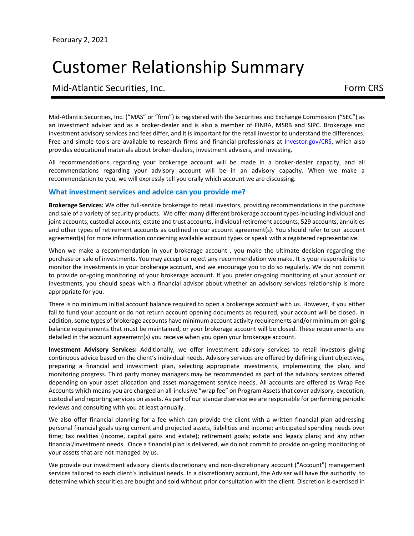# Customer Relationship Summary

## Mid-Atlantic Securities, Inc. The contraction of the contraction of the Form CRS

Mid-Atlantic Securities, Inc. ("MAS" or "firm") is registered with the Securities and Exchange Commission ("SEC") as an investment adviser and as a broker-dealer and is also a member of FINRA, MSRB and SIPC. Brokerage and investment advisory services and fees differ, and it is important for the retail investor to understand the differences. Free and simple tools are available to research firms and financial professionals at [Investor.gov/CRS,](https://www.investor.gov/CRS) which also provides educational materials about broker-dealers, investment advisers, and investing.

All recommendations regarding your brokerage account will be made in a broker-dealer capacity, and all recommendations regarding your advisory account will be in an advisory capacity. When we make a recommendation to you, we will expressly tell you orally which account we are discussing.

## **What investment services and advice can you provide me?**

**Brokerage Services:** We offer full-service brokerage to retail investors, providing recommendations in the purchase and sale of a variety of security products. We offer many different brokerage account types including individual and joint accounts, custodial accounts, estate and trust accounts, individual retirement accounts, 529 accounts, annuities and other types of retirement accounts as outlined in our account agreement(s). You should refer to our account agreement(s) for more information concerning available account types or speak with a registered representative.

When we make a recommendation in your brokerage account , you make the ultimate decision regarding the purchase or sale of investments. You may accept or reject any recommendation we make. It is your responsibility to monitor the investments in your brokerage account, and we encourage you to do so regularly. We do not commit to provide on-going monitoring of your brokerage account. If you prefer on-going monitoring of your account or investments, you should speak with a financial advisor about whether an advisory services relationship is more appropriate for you.

There is no minimum initial account balance required to open a brokerage account with us. However, if you either fail to fund your account or do not return account opening documents as required, your account will be closed. In addition, some types of brokerage accounts have minimum account activity requirements and/or minimum on-going balance requirements that must be maintained, or your brokerage account will be closed. These requirements are detailed in the account agreement(s) you receive when you open your brokerage account.

**Investment Advisory Services:** Additionally, we offer investment advisory services to retail investors giving continuous advice based on the client's individual needs. Advisory services are offered by defining client objectives, preparing a financial and investment plan, selecting appropriate investments, implementing the plan, and monitoring progress. Third party money managers may be recommended as part of the advisory services offered depending on your asset allocation and asset management service needs. All accounts are offered as Wrap Fee Accounts which means you are charged an all-inclusive "wrap fee" on Program Assets that cover advisory, execution, custodial and reporting services on assets. As part of our standard service we are responsible for performing periodic reviews and consulting with you at least annually.

We also offer financial planning for a fee which can provide the client with a written financial plan addressing personal financial goals using current and projected assets, liabilities and income; anticipated spending needs over time; tax realities (income, capital gains and estate); retirement goals; estate and legacy plans; and any other financial/investment needs. Once a financial plan is delivered, we do not commit to provide on-going monitoring of your assets that are not managed by us.

We provide our investment advisory clients discretionary and non-discretionary account ("Account") management services tailored to each client's individual needs. In a discretionary account, the Adviser will have the authority to determine which securities are bought and sold without prior consultation with the client. Discretion is exercised in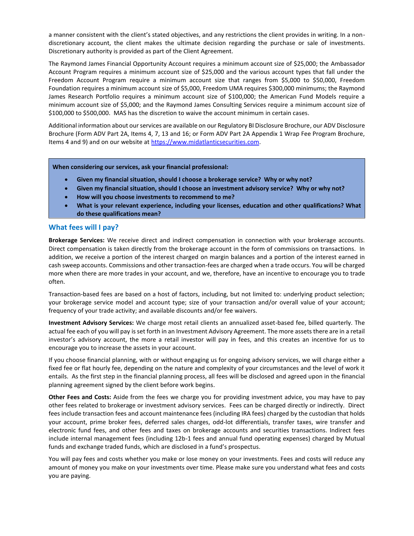a manner consistent with the client's stated objectives, and any restrictions the client provides in writing. In a nondiscretionary account, the client makes the ultimate decision regarding the purchase or sale of investments. Discretionary authority is provided as part of the Client Agreement.

The Raymond James Financial Opportunity Account requires a minimum account size of \$25,000; the Ambassador Account Program requires a minimum account size of \$25,000 and the various account types that fall under the Freedom Account Program require a minimum account size that ranges from \$5,000 to \$50,000, Freedom Foundation requires a minimum account size of \$5,000, Freedom UMA requires \$300,000 minimums; the Raymond James Research Portfolio requires a minimum account size of \$100,000; the American Fund Models require a minimum account size of \$5,000; and the Raymond James Consulting Services require a minimum account size of \$100,000 to \$500,000. MAS has the discretion to waive the account minimum in certain cases.

Additional information about our services are available on our Regulatory BI Disclosure Brochure, our ADV Disclosure Brochure (Form ADV Part 2A, Items 4, 7, 13 and 16; or Form ADV Part 2A Appendix 1 Wrap Fee Program Brochure, Items 4 and 9) and on our website a[t https://www.midatlanticsecurities.com.](https://www.midatlanticsecurities.com/)

**When considering our services, ask your financial professional:**

- **Given my financial situation, should I choose a brokerage service? Why or why not?**
- **Given my financial situation, should I choose an investment advisory service? Why or why not?**
- **How will you choose investments to recommend to me?**
- **What is your relevant experience, including your licenses, education and other qualifications? What do these qualifications mean?**

## **What fees will I pay?**

**Brokerage Services:** We receive direct and indirect compensation in connection with your brokerage accounts. Direct compensation is taken directly from the brokerage account in the form of commissions on transactions. In addition, we receive a portion of the interest charged on margin balances and a portion of the interest earned in cash sweep accounts. Commissions and other transaction-fees are charged when a trade occurs. You will be charged more when there are more trades in your account, and we, therefore, have an incentive to encourage you to trade often.

Transaction-based fees are based on a host of factors, including, but not limited to: underlying product selection; your brokerage service model and account type; size of your transaction and/or overall value of your account; frequency of your trade activity; and available discounts and/or fee waivers.

**Investment Advisory Services:** We charge most retail clients an annualized asset-based fee, billed quarterly. The actual fee each of you will pay is set forth in an Investment Advisory Agreement. The more assets there are in a retail investor's advisory account, the more a retail investor will pay in fees, and this creates an incentive for us to encourage you to increase the assets in your account.

If you choose financial planning, with or without engaging us for ongoing advisory services, we will charge either a fixed fee or flat hourly fee, depending on the nature and complexity of your circumstances and the level of work it entails. As the first step in the financial planning process, all fees will be disclosed and agreed upon in the financial planning agreement signed by the client before work begins.

**Other Fees and Costs:** Aside from the fees we charge you for providing investment advice, you may have to pay other fees related to brokerage or investment advisory services. Fees can be charged directly or indirectly. Direct fees include transaction fees and account maintenance fees (including IRA fees) charged by the custodian that holds your account, prime broker fees, deferred sales charges, odd-lot differentials, transfer taxes, wire transfer and electronic fund fees, and other fees and taxes on brokerage accounts and securities transactions. Indirect fees include internal management fees (including 12b-1 fees and annual fund operating expenses) charged by Mutual funds and exchange traded funds, which are disclosed in a fund's prospectus.

You will pay fees and costs whether you make or lose money on your investments. Fees and costs will reduce any amount of money you make on your investments over time. Please make sure you understand what fees and costs you are paying.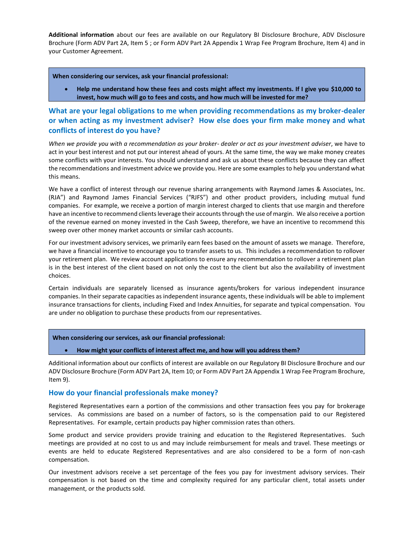**Additional information** about our fees are available on our Regulatory BI Disclosure Brochure, ADV Disclosure Brochure (Form ADV Part 2A, Item 5 ; or Form ADV Part 2A Appendix 1 Wrap Fee Program Brochure, Item 4) and in your Customer Agreement.

**When considering our services, ask your financial professional:**

• **Help me understand how these fees and costs might affect my investments. If I give you \$10,000 to invest, how much will go to fees and costs, and how much will be invested for me?**

**What are your legal obligations to me when providing recommendations as my broker-dealer or when acting as my investment adviser? How else does your firm make money and what conflicts of interest do you have?**

*When we provide you with a recommendation as your broker- dealer or act as your investment adviser*, we have to act in your best interest and not put our interest ahead of yours. At the same time, the way we make money creates some conflicts with your interests. You should understand and ask us about these conflicts because they can affect the recommendations and investment advice we provide you. Here are some examples to help you understand what this means.

We have a conflict of interest through our revenue sharing arrangements with Raymond James & Associates, Inc. (RJA") and Raymond James Financial Services ("RJFS") and other product providers, including mutual fund companies. For example, we receive a portion of margin interest charged to clients that use margin and therefore have an incentive to recommend clients leverage their accounts through the use of margin. We also receive a portion of the revenue earned on money invested in the Cash Sweep, therefore, we have an incentive to recommend this sweep over other money market accounts or similar cash accounts.

For our investment advisory services, we primarily earn fees based on the amount of assets we manage. Therefore, we have a financial incentive to encourage you to transfer assets to us. This includes a recommendation to rollover your retirement plan. We review account applications to ensure any recommendation to rollover a retirement plan is in the best interest of the client based on not only the cost to the client but also the availability of investment choices.

Certain individuals are separately licensed as insurance agents/brokers for various independent insurance companies. In their separate capacities as independent insurance agents, these individuals will be able to implement insurance transactions for clients, including Fixed and Index Annuities, for separate and typical compensation. You are under no obligation to purchase these products from our representatives.

**When considering our services, ask our financial professional:**

#### • **How might your conflicts of interest affect me, and how will you address them?**

Additional information about our conflicts of interest are available on our Regulatory BI Disclosure Brochure and our ADV Disclosure Brochure (Form ADV Part 2A, Item 10; or Form ADV Part 2A Appendix 1 Wrap Fee Program Brochure, Item 9).

#### **How do your financial professionals make money?**

Registered Representatives earn a portion of the commissions and other transaction fees you pay for brokerage services. As commissions are based on a number of factors, so is the compensation paid to our Registered Representatives. For example, certain products pay higher commission rates than others.

Some product and service providers provide training and education to the Registered Representatives. Such meetings are provided at no cost to us and may include reimbursement for meals and travel. These meetings or events are held to educate Registered Representatives and are also considered to be a form of non-cash compensation.

Our investment advisors receive a set percentage of the fees you pay for investment advisory services. Their compensation is not based on the time and complexity required for any particular client, total assets under management, or the products sold.